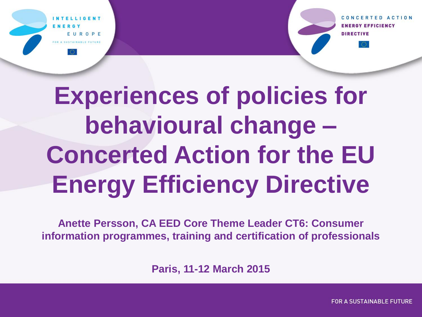CONCERTED ACTION RGY EFFICIENCY



EUROPE OR A SUSTAINABLE FUTURE

**Anette Persson, CA EED Core Theme Leader CT6: Consumer information programmes, training and certification of professionals**

**Paris, 11-12 March 2015**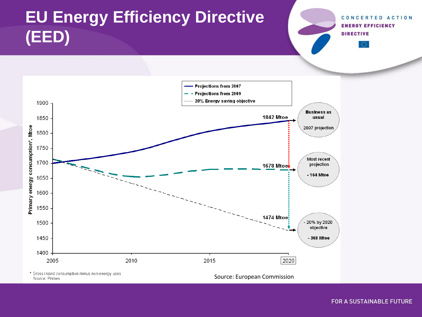# **EU Energy Efficiency Directive (EED)**

CONCERTED ACTION **ENERGY EFFICIENCY DIRECTIVE** 



Source: Primes

Source: European Commission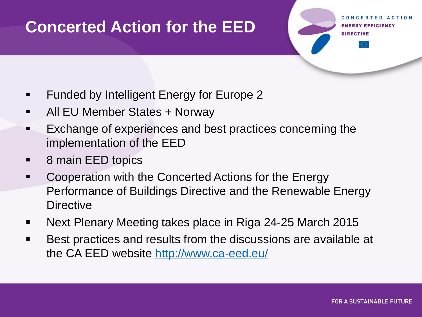#### **Concerted Action for the EED**

- Funded by Intelligent Energy for Europe 2
- All EU Member States + Norway
- Exchange of experiences and best practices concerning the implementation of the EED
- 8 main EED topics
- Cooperation with the Concerted Actions for the Energy Performance of Buildings Directive and the Renewable Energy **Directive**
- **Next Plenary Meeting takes place in Riga 24-25 March 2015**
- **Best practices and results from the discussions are available at** the CA EED website<http://www.ca-eed.eu/>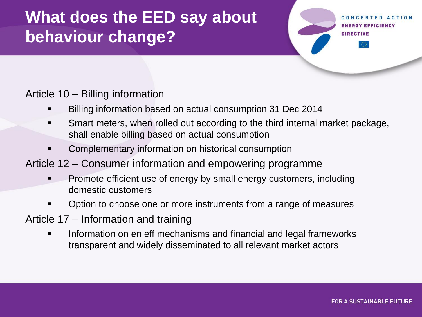## **What does the EED say about behaviour change?**

Article 10 – Billing information

- Billing information based on actual consumption 31 Dec 2014
- Smart meters, when rolled out according to the third internal market package, shall enable billing based on actual consumption
- Complementary information on historical consumption

#### Article 12 – Consumer information and empowering programme

- Promote efficient use of energy by small energy customers, including domestic customers
- Option to choose one or more instruments from a range of measures
- Article 17 Information and training
	- Information on en eff mechanisms and financial and legal frameworks transparent and widely disseminated to all relevant market actors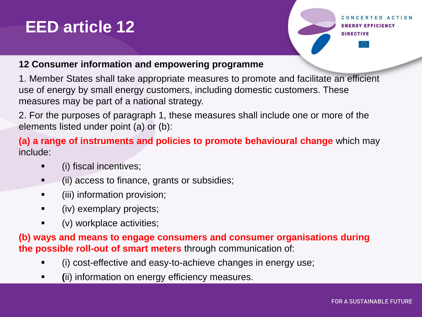#### **EED article 12**

Y EFFICIENCY

#### **12 Consumer information and empowering programme**

1. Member States shall take appropriate measures to promote and facilitate an efficient use of energy by small energy customers, including domestic customers. These measures may be part of a national strategy.

2. For the purposes of paragraph 1, these measures shall include one or more of the elements listed under point (a) or (b):

**(a) a range of instruments and policies to promote behavioural change** which may include:

- (i) fiscal incentives;
- (ii) access to finance, grants or subsidies;
- (iii) information provision;
- (iv) exemplary projects;
- (v) workplace activities;

**(b) ways and means to engage consumers and consumer organisations during the possible roll-out of smart meters** through communication of:

- (i) cost-effective and easy-to-achieve changes in energy use;
- **(**ii) information on energy efficiency measures.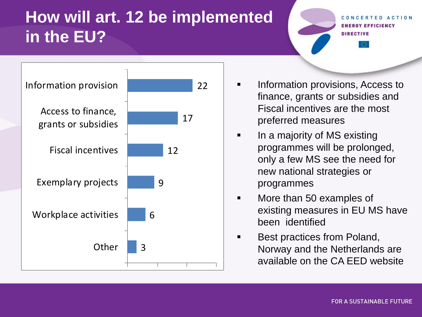#### **How will art. 12 be implemented in the EU?**

**RGY EFFICIENCY DIRECTIVE** 



- finance, grants or subsidies and Fiscal incentives are the most preferred measures
- In a majority of MS existing programmes will be prolonged, only a few MS see the need for new national strategies or programmes
- **Nore than 50 examples of** existing measures in EU MS have been identified
- Best practices from Poland, Norway and the Netherlands are available on the CA EED website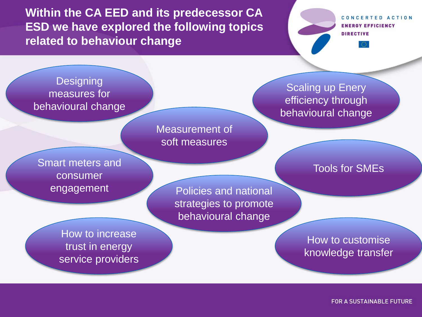**Within the CA EED and its predecessor CA ESD we have explored the following topics related to behaviour change**

CONCERTED ACTION **ENERGY EFFICIENCY DIRECTIVE** 

**Designing** measures for behavioural change

Smart meters and consumer

Measurement of soft measures

**Scaling up Enery** efficiency through behavioural change

Tools for SMEs

engagement Policies and national strategies to promote behavioural change

How to increase trust in energy service providers

How to customise knowledge transfer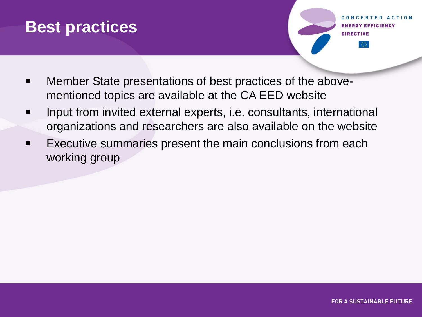#### **Best practices**

**FD ACTION Y EFFICIENCY** 

- **Member State presentations of best practices of the above**mentioned topics are available at the CA EED website
- **Input from invited external experts, i.e. consultants, international** organizations and researchers are also available on the website
- Executive summaries present the main conclusions from each working group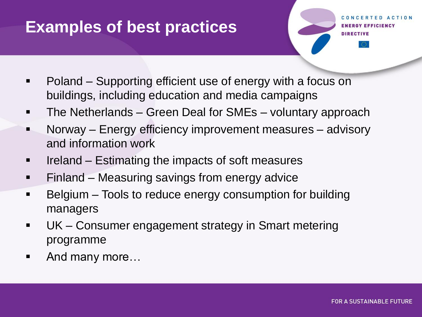#### **Examples of best practices**

- Poland Supporting efficient use of energy with a focus on buildings, including education and media campaigns
- **The Netherlands Green Deal for SMEs voluntary approach**
- **Norway Energy efficiency improvement measures advisory** and information work
- Ireland Estimating the impacts of soft measures
- **Finland Measuring savings from energy advice**
- Belgium Tools to reduce energy consumption for building managers
- UK Consumer engagement strategy in Smart metering programme
- And many more...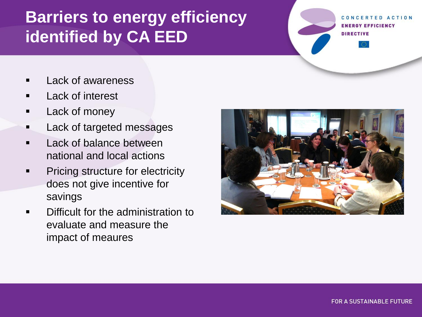### **Barriers to energy efficiency identified by CA EED**

**ACTION GY EFFICIENCY DIRECTIVE** 

- Lack of awareness
- Lack of interest
- Lack of money
- Lack of targeted messages
- Lack of balance between national and local actions
- Pricing structure for electricity does not give incentive for savings
- Difficult for the administration to evaluate and measure the impact of meaures

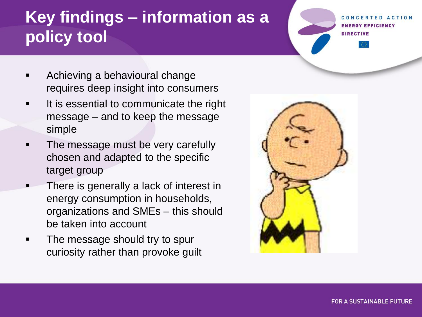# **Key findings – information as a policy tool**

- Achieving a behavioural change requires deep insight into consumers
- **If is essential to communicate the right** message – and to keep the message simple
- The message must be very carefully chosen and adapted to the specific target group
- There is generally a lack of interest in energy consumption in households, organizations and SMEs – this should be taken into account
- The message should try to spur curiosity rather than provoke guilt



**FOR A SUSTAINABLE FUTURE** 

GY EFFICIENCY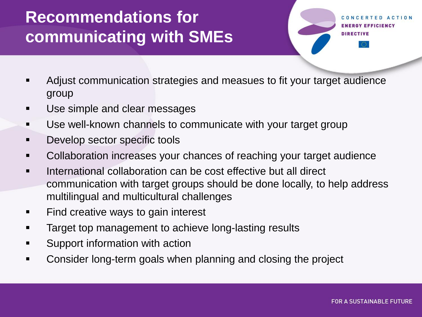## **Recommendations for communicating with SMEs**

- Adjust communication strategies and measues to fit your target audience group
- Use simple and clear messages
- Use well-known channels to communicate with your target group
- Develop sector specific tools
- Collaboration increases your chances of reaching your target audience
- International collaboration can be cost effective but all direct communication with target groups should be done locally, to help address multilingual and multicultural challenges
- Find creative ways to gain interest
- Target top management to achieve long-lasting results
- Support information with action
- Consider long-term goals when planning and closing the project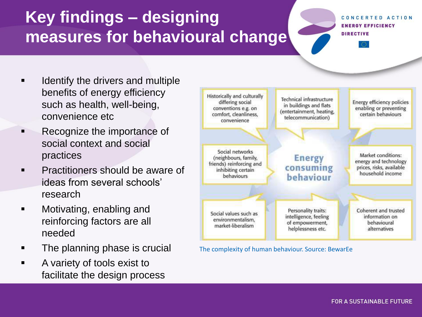## **Key findings – designing measures for behavioural change**

#### CONCERTED ACTION **ENERGY EFFICIENCY DIRECTIVE**

- **If all identify the drivers and multiple** benefits of energy efficiency such as health, well-being, convenience etc
- **Recognize the importance of** social context and social practices
- **Practitioners should be aware of** ideas from several schools' research
- **■** Motivating, enabling and reinforcing factors are all needed
- **The planning phase is crucial**
- **A** variety of tools exist to facilitate the design process



The complexity of human behaviour. Source: BewarEe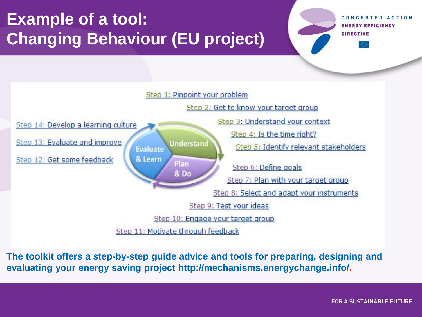# **Example of a tool: Changing Behaviour (EU project)**

CONCERTED ACTION **ENERGY EFFICIENCY DIRECTIVE** 



**The toolkit offers a step-by-step guide advice and tools for preparing, designing and evaluating your energy saving project [http://mechanisms.energychange.info/.](http://mechanisms.energychange.info/)**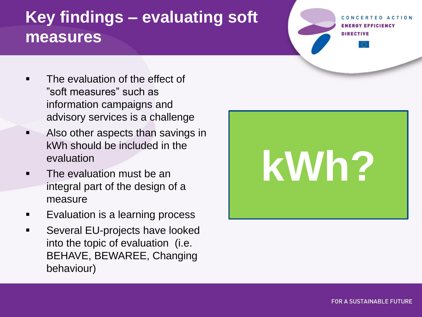#### **Key findings – evaluating soft measures**

**GY EFFICIENCY DIRECTIVE** 

- The evaluation of the effect of "soft measures" such as information campaigns and advisory services is a challenge
- Also other aspects than savings in kWh should be included in the evaluation
- The evaluation must be an integral part of the design of a measure
- Evaluation is a learning process
- Several EU-projects have looked into the topic of evaluation (i.e. BEHAVE, BEWAREE, Changing behaviour)

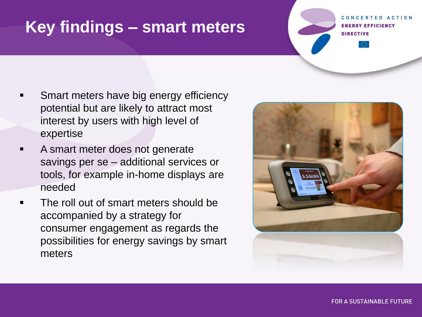#### **Key findings – smart meters**

**GY EFFICIENCY** 

- Smart meters have big energy efficiency potential but are likely to attract most interest by users with high level of expertise
- A smart meter does not generate savings per se – additional services or tools, for example in-home displays are needed
- The roll out of smart meters should be accompanied by a strategy for consumer engagement as regards the possibilities for energy savings by smart meters